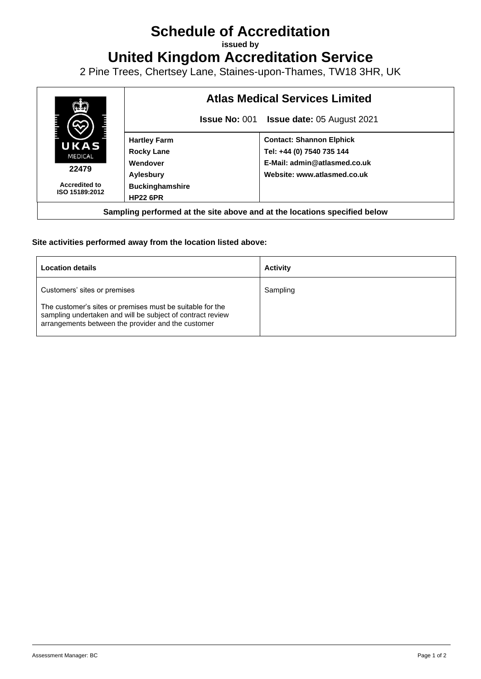## **Schedule of Accreditation**

**issued by**

**United Kingdom Accreditation Service**

2 Pine Trees, Chertsey Lane, Staines-upon-Thames, TW18 3HR, UK



## **Site activities performed away from the location listed above:**

| <b>Location details</b>                                                                                                                                                       | <b>Activity</b> |
|-------------------------------------------------------------------------------------------------------------------------------------------------------------------------------|-----------------|
| Customers' sites or premises                                                                                                                                                  | Sampling        |
| The customer's sites or premises must be suitable for the<br>sampling undertaken and will be subject of contract review<br>arrangements between the provider and the customer |                 |